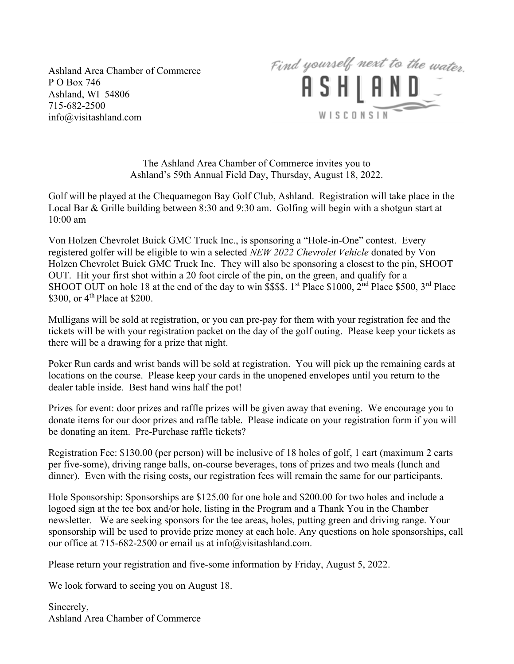Ashland Area Chamber of Commerce P O Box 746 Ashland, WI 54806 715-682-2500 info@visitashland.com



The Ashland Area Chamber of Commerce invites you to Ashland's 59th Annual Field Day, Thursday, August 18, 2022.

Golf will be played at the Chequamegon Bay Golf Club, Ashland. Registration will take place in the Local Bar & Grille building between 8:30 and 9:30 am. Golfing will begin with a shotgun start at 10:00 am

Von Holzen Chevrolet Buick GMC Truck Inc., is sponsoring a "Hole-in-One" contest. Every registered golfer will be eligible to win a selected NEW 2022 Chevrolet Vehicle donated by Von Holzen Chevrolet Buick GMC Truck Inc. They will also be sponsoring a closest to the pin, SHOOT OUT. Hit your first shot within a 20 foot circle of the pin, on the green, and qualify for a SHOOT OUT on hole 18 at the end of the day to win \$\$\$\$. 1<sup>st</sup> Place \$1000, 2<sup>nd</sup> Place \$500, 3<sup>rd</sup> Place \$300, or  $4<sup>th</sup>$  Place at \$200.

Mulligans will be sold at registration, or you can pre-pay for them with your registration fee and the tickets will be with your registration packet on the day of the golf outing. Please keep your tickets as there will be a drawing for a prize that night.

Poker Run cards and wrist bands will be sold at registration. You will pick up the remaining cards at locations on the course. Please keep your cards in the unopened envelopes until you return to the dealer table inside. Best hand wins half the pot!

Prizes for event: door prizes and raffle prizes will be given away that evening. We encourage you to donate items for our door prizes and raffle table. Please indicate on your registration form if you will be donating an item. Pre-Purchase raffle tickets?

Registration Fee: \$130.00 (per person) will be inclusive of 18 holes of golf, 1 cart (maximum 2 carts per five-some), driving range balls, on-course beverages, tons of prizes and two meals (lunch and dinner). Even with the rising costs, our registration fees will remain the same for our participants.

Hole Sponsorship: Sponsorships are \$125.00 for one hole and \$200.00 for two holes and include a logoed sign at the tee box and/or hole, listing in the Program and a Thank You in the Chamber newsletter. We are seeking sponsors for the tee areas, holes, putting green and driving range. Your sponsorship will be used to provide prize money at each hole. Any questions on hole sponsorships, call our office at 715-682-2500 or email us at info@visitashland.com.

Please return your registration and five-some information by Friday, August 5, 2022.

We look forward to seeing you on August 18.

Sincerely, Ashland Area Chamber of Commerce